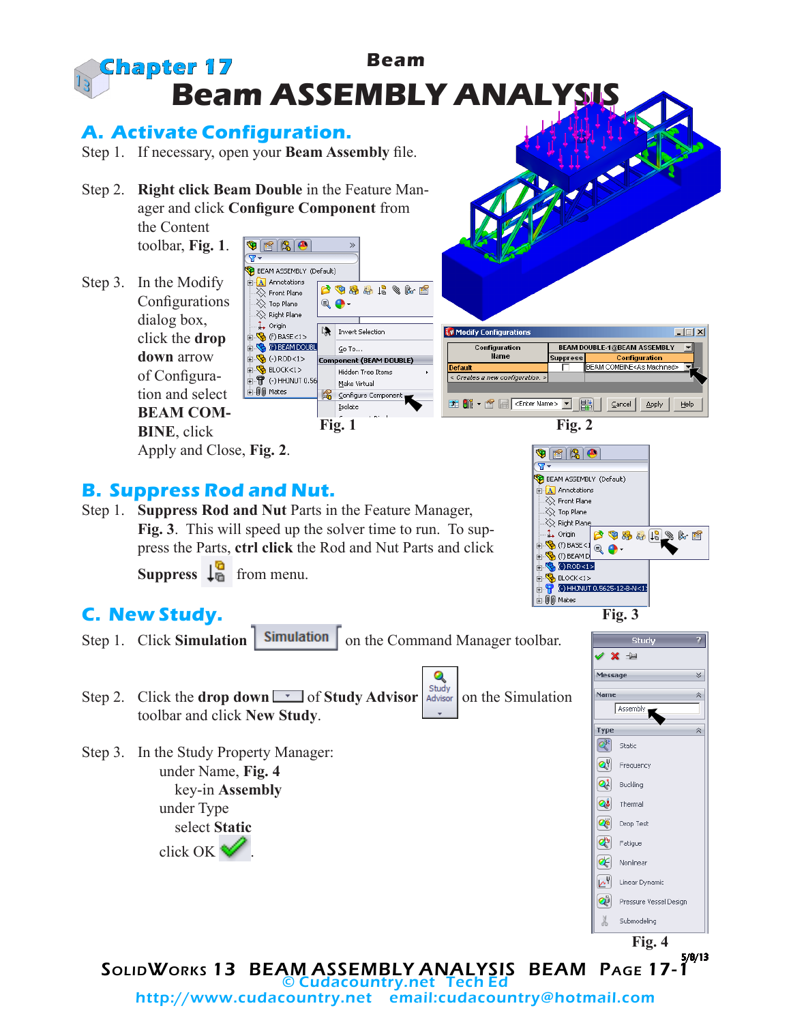

http://www.cudacountry.net email:cudacountry@hotmail.com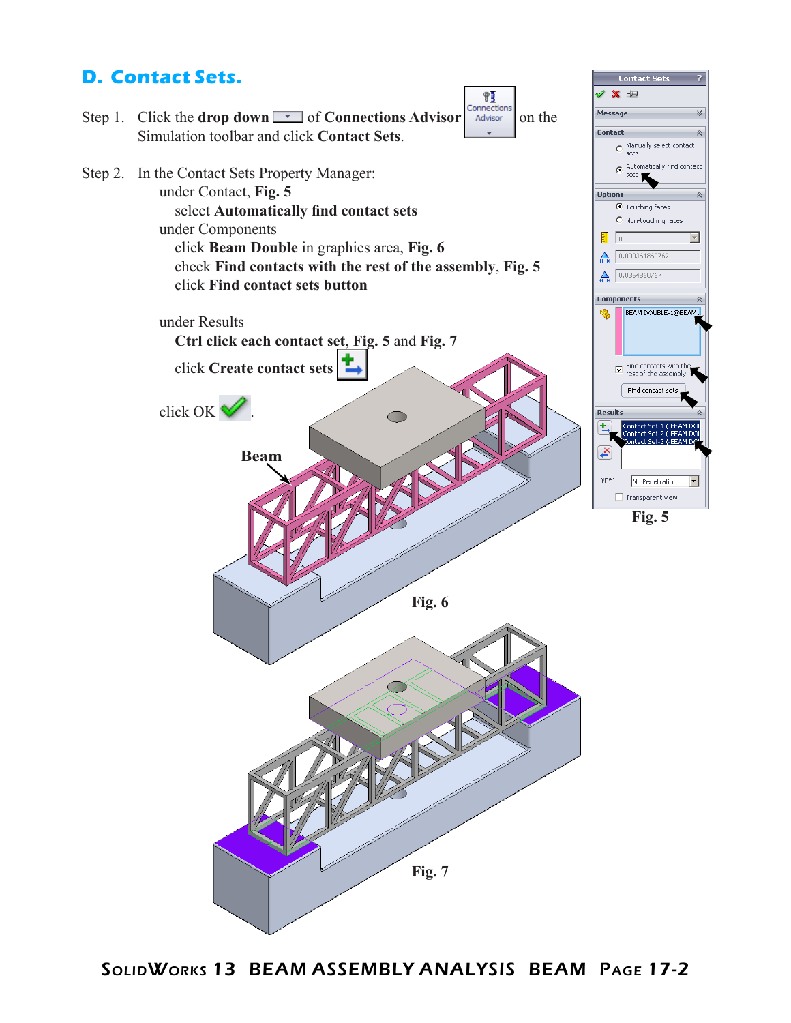## **D. Contact Sets.**

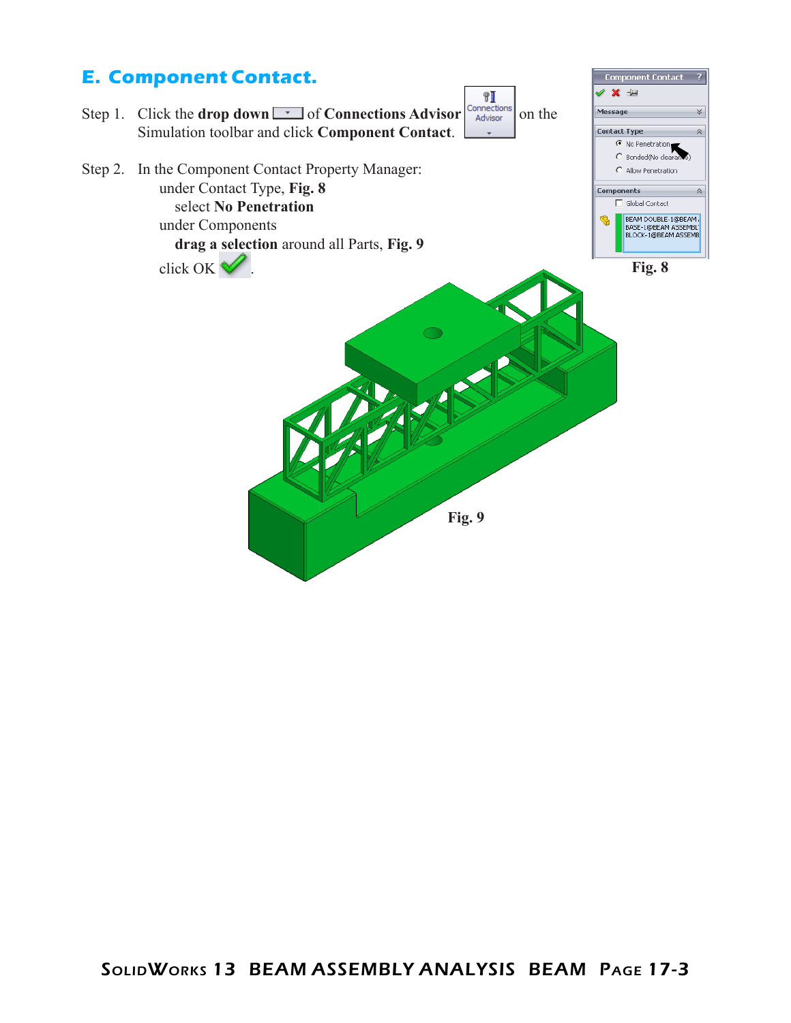### **E. Component Contact.** Component Contact ? / X = ¶J Step 1. Click the **drop down**  $\boxed{\cdot}$  of **Connections Advisor**  $\begin{bmatrix} \text{Connections} \\ \text{Advisor} \end{bmatrix}$  on the Message × Simulation toolbar and click **Component Contact**. **Contact Type**  $\bar{\mathbf{v}}$ tact Type<br>C No Penetration<br>C Bonded(No clearance) C Bonded(No clear Step 2. In the Component Contact Property Manager: C Allow Penetration under Contact Type, **Fig. 8** Components  $\Box$  Global Contact select **No Penetration** BEAM DOUBLE-1@BEAM B under Components **drag a selection** around all Parts, **Fig. 9** click OK  $\blacktriangledown$ .  $\bigcirc$ **Fig. 9**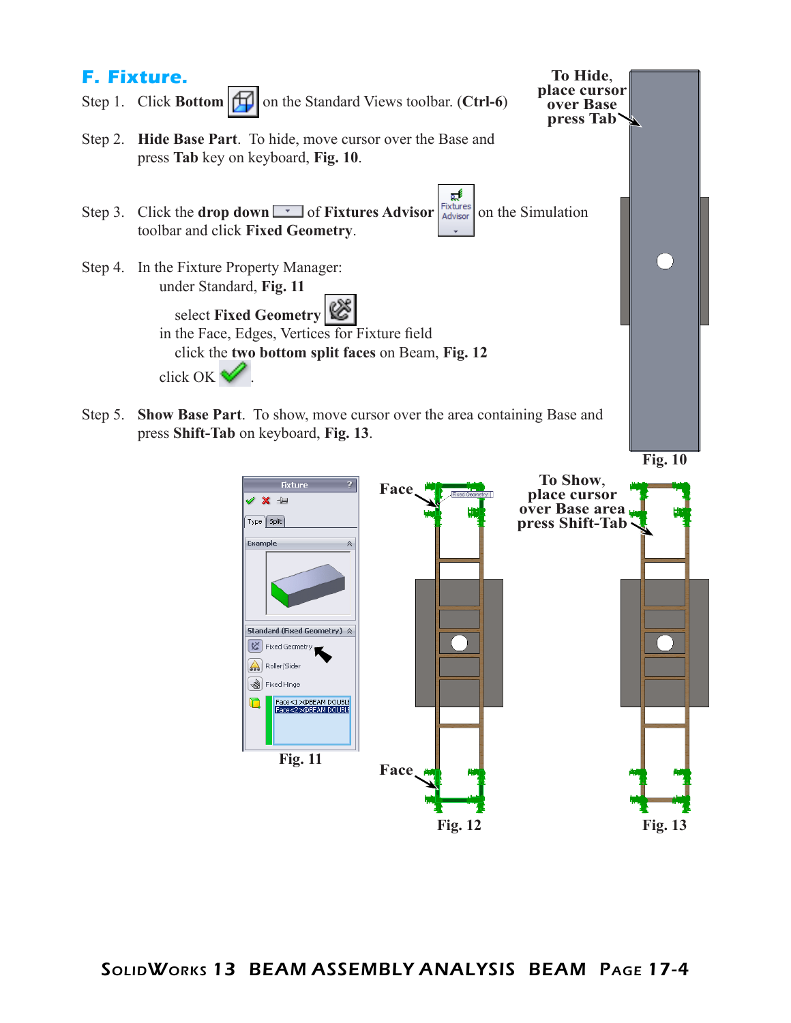

**Fig. 12 Fig. 13**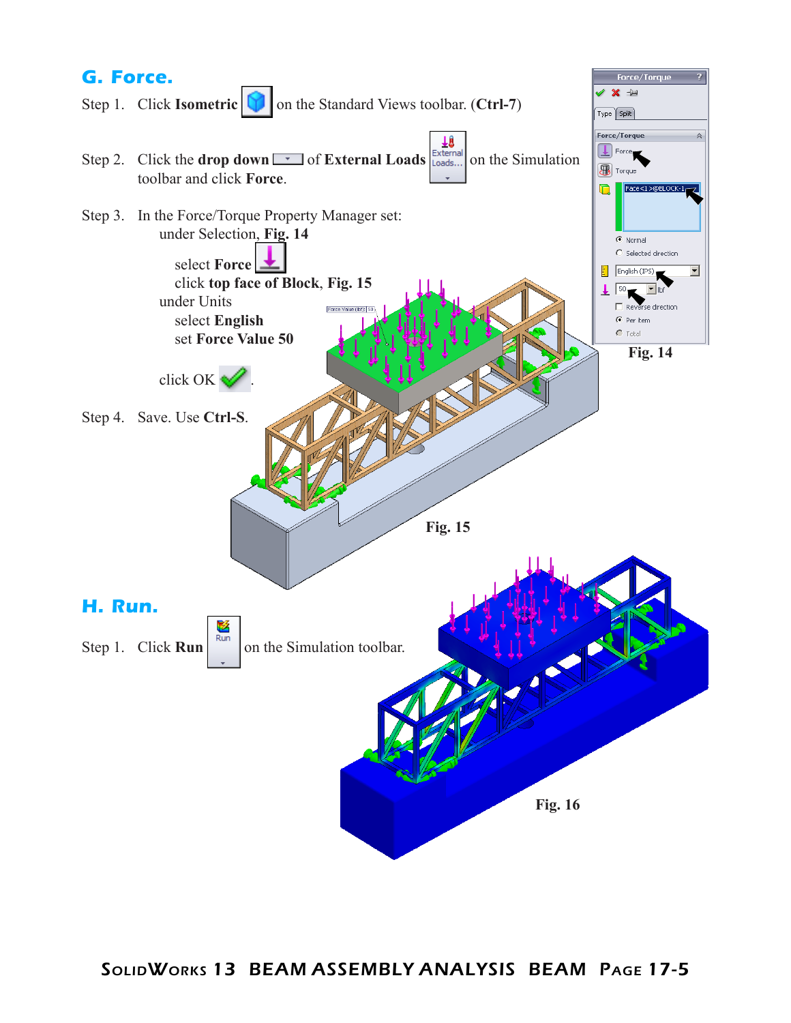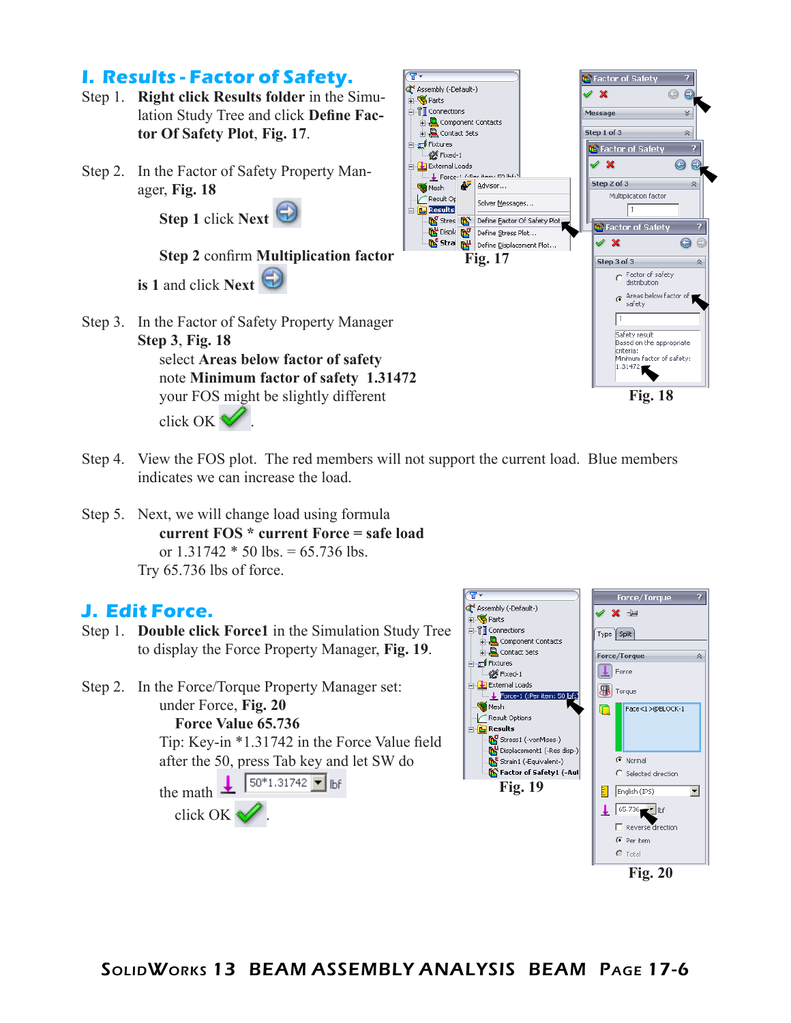

- Step 4. View the FOS plot. The red members will not support the current load. Blue members indicates we can increase the load.
- Step 5. Next, we will change load using formula **current FOS \* current Force = safe load** or  $1.31742 * 50$  lbs. = 65.736 lbs. Try 65.736 lbs of force.

#### **J. Edit Force.**

- Step 1. **Double click Force1** in the Simulation Study Tree to display the Force Property Manager, **Fig. 19**.
- Step 2. In the Force/Torque Property Manager set: under Force, **Fig. 20 Force Value 65.736**

Tip: Key-in \*1.31742 in the Force Value field after the 50, press Tab key and let SW do